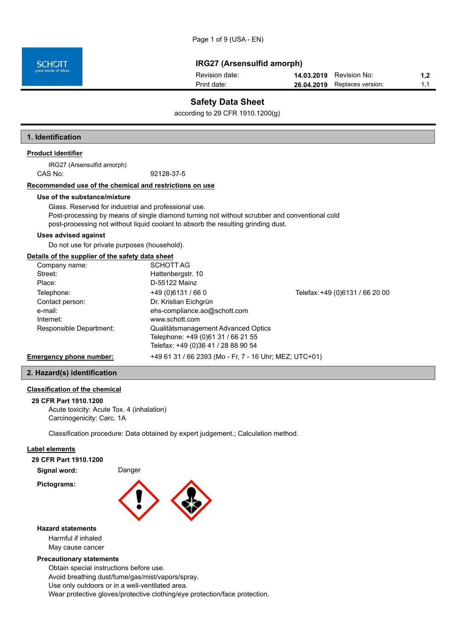| Revision date: | <b>14.03.2019</b> Revision No:      |  |
|----------------|-------------------------------------|--|
| Print date:    | <b>26.04.2019</b> Replaces version: |  |

## **Safety Data Sheet**

according to 29 CFR 1910.1200(g)

### **1. Identification**

## **Product identifier**

IRG27 (Arsensulfid amorph) CAS No: 92128-37-5

## **Recommended use of the chemical and restrictions on use**

#### **Use of the substance/mixture**

Glass. Reserved for industrial and professional use. Post-processing by means of single diamond turning not without scrubber and conventional cold post-processing not without liquid coolant to absorb the resulting grinding dust.

#### **Uses advised against**

Do not use for private purposes (household).

#### **Details of the supplier of the safety data sheet**

| Company name:                  | <b>SCHOTT AG</b>                                       |                                 |
|--------------------------------|--------------------------------------------------------|---------------------------------|
| Street:                        | Hattenbergstr. 10                                      |                                 |
| Place:                         | D-55122 Mainz                                          |                                 |
| Telephone:                     | $+49(0)6131/660$                                       | Telefax: +49 (0)6131 / 66 20 00 |
| Contact person:                | Dr. Kristian Eichgrün                                  |                                 |
| e-mail:                        | ehs-compliance.ao@schott.com                           |                                 |
| Internet:                      | www.schott.com                                         |                                 |
| Responsible Department:        | Qualitätsmanagement Advanced Optics                    |                                 |
|                                | Telephone: +49 (0)61 31 / 66 21 55                     |                                 |
|                                | Telefax: +49 (0)36 41 / 28 88 90 54                    |                                 |
| <b>Emergency phone number:</b> | +49 61 31 / 66 2393 (Mo - Fr, 7 - 16 Uhr; MEZ; UTC+01) |                                 |

#### **2. Hazard(s) identification**

## **Classification of the chemical**

## **29 CFR Part 1910.1200**

Acute toxicity: Acute Tox. 4 (inhalation) Carcinogenicity: Carc. 1A

Classification procedure: Data obtained by expert judgement.; Calculation method.

## **Label elements**

**29 CFR Part 1910.1200**

**Signal word:** Danger

**Pictograms:**



#### **Hazard statements**

Harmful if inhaled May cause cancer

#### **Precautionary statements**

Obtain special instructions before use. Avoid breathing dust/fume/gas/mist/vapors/spray.

Use only outdoors or in a well-ventilated area.

Wear protective gloves/protective clothing/eye protection/face protection.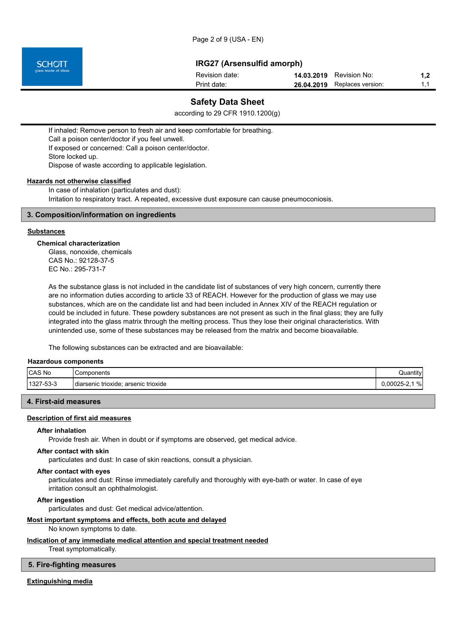

| Revision date: | <b>14.03.2019</b> Revision No: | 1.2 |
|----------------|--------------------------------|-----|
| Print date:    | 26.04.2019 Replaces version:   | 11  |

## **Safety Data Sheet**

according to 29 CFR 1910.1200(g)

If inhaled: Remove person to fresh air and keep comfortable for breathing. Call a poison center/doctor if you feel unwell. If exposed or concerned: Call a poison center/doctor. Store locked up. Dispose of waste according to applicable legislation.

#### **Hazards not otherwise classified**

In case of inhalation (particulates and dust): Irritation to respiratory tract. A repeated, excessive dust exposure can cause pneumoconiosis.

## **3. Composition/information on ingredients**

#### **Substances**

#### **Chemical characterization**

Glass, nonoxide, chemicals CAS No.: 92128-37-5 EC No.: 295-731-7

As the substance glass is not included in the candidate list of substances of very high concern, currently there are no information duties according to article 33 of REACH. However for the production of glass we may use substances, which are on the candidate list and had been included in Annex XIV of the REACH regulation or could be included in future. These powdery substances are not present as such in the final glass; they are fully integrated into the glass matrix through the melting process. Thus they lose their original characteristics. With unintended use, some of these substances may be released from the matrix and become bioavailable.

The following substances can be extracted and are bioavailable:

#### **Hazardous components**

| CAS No         | Components                                            | Quantity          |
|----------------|-------------------------------------------------------|-------------------|
| 1327<br>7-53-3 | arsenic trioxide<br>: trioxide:<br><b>I</b> diarsenic | %<br>$0,00025-2,$ |

#### **4. First-aid measures**

#### **Description of first aid measures**

#### **After inhalation**

Provide fresh air. When in doubt or if symptoms are observed, get medical advice.

## **After contact with skin**

particulates and dust: In case of skin reactions, consult a physician.

#### **After contact with eyes**

particulates and dust: Rinse immediately carefully and thoroughly with eye-bath or water. In case of eye irritation consult an ophthalmologist.

**After ingestion**

particulates and dust: Get medical advice/attention.

## **Most important symptoms and effects, both acute and delayed**

No known symptoms to date.

#### **Indication of any immediate medical attention and special treatment needed**

Treat symptomatically.

#### **5. Fire-fighting measures**

#### **Extinguishing media**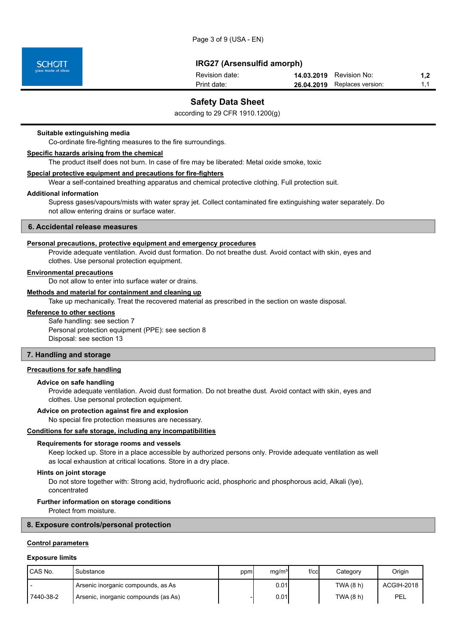| Revision date: | <b>14.03.2019</b> Revision No:      |  |
|----------------|-------------------------------------|--|
| Print date:    | <b>26.04.2019</b> Replaces version: |  |

## **Safety Data Sheet**

according to 29 CFR 1910.1200(g)

#### **Suitable extinguishing media**

Co-ordinate fire-fighting measures to the fire surroundings.

### **Specific hazards arising from the chemical**

The product itself does not burn. In case of fire may be liberated: Metal oxide smoke, toxic

#### **Special protective equipment and precautions for fire-fighters**

Wear a self-contained breathing apparatus and chemical protective clothing. Full protection suit.

### **Additional information**

Supress gases/vapours/mists with water spray jet. Collect contaminated fire extinguishing water separately. Do not allow entering drains or surface water.

#### **6. Accidental release measures**

#### **Personal precautions, protective equipment and emergency procedures**

Provide adequate ventilation. Avoid dust formation. Do not breathe dust. Avoid contact with skin, eyes and clothes. Use personal protection equipment.

## **Environmental precautions**

Do not allow to enter into surface water or drains.

## **Methods and material for containment and cleaning up**

Take up mechanically. Treat the recovered material as prescribed in the section on waste disposal.

#### **Reference to other sections**

Safe handling: see section 7 Personal protection equipment (PPE): see section 8 Disposal: see section 13

#### **7. Handling and storage**

#### **Precautions for safe handling**

#### **Advice on safe handling**

Provide adequate ventilation. Avoid dust formation. Do not breathe dust. Avoid contact with skin, eyes and clothes. Use personal protection equipment.

#### **Advice on protection against fire and explosion**

No special fire protection measures are necessary.

#### **Conditions for safe storage, including any incompatibilities**

#### **Requirements for storage rooms and vessels**

Keep locked up. Store in a place accessible by authorized persons only. Provide adequate ventilation as well as local exhaustion at critical locations. Store in a dry place.

#### **Hints on joint storage**

Do not store together with: Strong acid, hydrofluoric acid, phosphoric and phosphorous acid, Alkali (lye), concentrated

#### **Further information on storage conditions**

Protect from moisture.

#### **8. Exposure controls/personal protection**

#### **Control parameters**

#### **Exposure limits**

| <b>ICAS No.</b> | Substance                               | ppm | ma/m <sup>3</sup> | $f$ / $c$ cl | Categorv  | Origin     |
|-----------------|-----------------------------------------|-----|-------------------|--------------|-----------|------------|
|                 | Arsenic inorganic compounds, as As      |     | 0.01              |              | TWA (8 h) | ACGIH-2018 |
| 7440-38-2       | `Arsenic, inorganic compounds (as As) . |     | 0.01l             |              | TWA (8 h) | PEL        |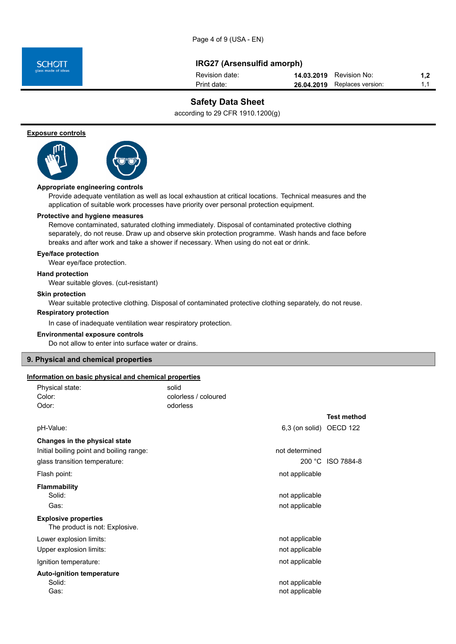Page 4 of 9 (USA - EN)



## **IRG27 (Arsensulfid amorph)**

| Revision date: | <b>14.03.2019</b> Revision No: | 1.2 |
|----------------|--------------------------------|-----|
| Print date:    | 26.04.2019 Replaces version:   |     |

## **Safety Data Sheet**

according to 29 CFR 1910.1200(g)

**Exposure controls**



## **Appropriate engineering controls**

Provide adequate ventilation as well as local exhaustion at critical locations. Technical measures and the application of suitable work processes have priority over personal protection equipment.

#### **Protective and hygiene measures**

Remove contaminated, saturated clothing immediately. Disposal of contaminated protective clothing separately, do not reuse. Draw up and observe skin protection programme. Wash hands and face before breaks and after work and take a shower if necessary. When using do not eat or drink.

#### **Eye/face protection**

Wear eye/face protection.

#### **Hand protection**

Wear suitable gloves. (cut-resistant)

#### **Skin protection**

Wear suitable protective clothing. Disposal of contaminated protective clothing separately, do not reuse.

## **Respiratory protection**

In case of inadequate ventilation wear respiratory protection.

#### **Environmental exposure controls**

Do not allow to enter into surface water or drains.

#### **9. Physical and chemical properties**

## **Information on basic physical and chemical properties**

| Physical state:<br>Color:                                     | solid<br>colorless / coloured |                    |
|---------------------------------------------------------------|-------------------------------|--------------------|
| Odor:                                                         | odorless                      |                    |
|                                                               |                               | <b>Test method</b> |
| pH-Value:                                                     | 6,3 (on solid) OECD 122       |                    |
| Changes in the physical state                                 |                               |                    |
| Initial boiling point and boiling range:                      | not determined                |                    |
| glass transition temperature:                                 |                               | 200 °C ISO 7884-8  |
| Flash point:                                                  | not applicable                |                    |
| <b>Flammability</b>                                           |                               |                    |
| Solid:                                                        | not applicable                |                    |
| Gas:                                                          | not applicable                |                    |
| <b>Explosive properties</b><br>The product is not: Explosive. |                               |                    |
| Lower explosion limits:                                       | not applicable                |                    |
| Upper explosion limits:                                       | not applicable                |                    |
| Ignition temperature:                                         | not applicable                |                    |
| <b>Auto-ignition temperature</b>                              |                               |                    |
| Solid:                                                        | not applicable                |                    |
| Gas:                                                          | not applicable                |                    |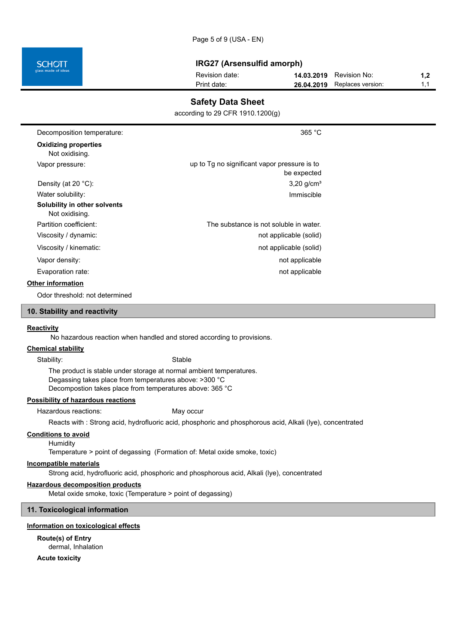| 26.04.2019 Replaces version:<br>Print date: | 11 |
|---------------------------------------------|----|

## **Safety Data Sheet**

according to 29 CFR 1910.1200(g)

| Decomposition temperature:                     | 365 °C                                                      |  |
|------------------------------------------------|-------------------------------------------------------------|--|
| <b>Oxidizing properties</b><br>Not oxidising.  |                                                             |  |
| Vapor pressure:                                | up to Tg no significant vapor pressure is to<br>be expected |  |
| Density (at 20 $^{\circ}$ C):                  | $3,20$ g/cm <sup>3</sup>                                    |  |
| Water solubility:                              | Immiscible                                                  |  |
| Solubility in other solvents<br>Not oxidising. |                                                             |  |
| Partition coefficient:                         | The substance is not soluble in water.                      |  |
| Viscosity / dynamic:                           | not applicable (solid)                                      |  |
| Viscosity / kinematic:                         | not applicable (solid)                                      |  |
| Vapor density:                                 | not applicable                                              |  |
| Evaporation rate:                              | not applicable                                              |  |
| <b>Other information</b>                       |                                                             |  |
| Odor threshold: not determined                 |                                                             |  |

### **10. Stability and reactivity**

#### **Reactivity**

No hazardous reaction when handled and stored according to provisions.

#### **Chemical stability**

Stability: Stable

The product is stable under storage at normal ambient temperatures. Degassing takes place from temperatures above: >300 °C Decompostion takes place from temperatures above: 365 °C

### **Possibility of hazardous reactions**

Hazardous reactions: May occur

Reacts with : Strong acid, hydrofluoric acid, phosphoric and phosphorous acid, Alkali (lye), concentrated

## **Conditions to avoid**

**Humidity** 

Temperature > point of degassing (Formation of: Metal oxide smoke, toxic)

#### **Incompatible materials**

Strong acid, hydrofluoric acid, phosphoric and phosphorous acid, Alkali (lye), concentrated

#### **Hazardous decomposition products**

Metal oxide smoke, toxic (Temperature > point of degassing)

#### **11. Toxicological information**

#### **Information on toxicological effects**

**Route(s) of Entry** dermal, Inhalation

**Acute toxicity**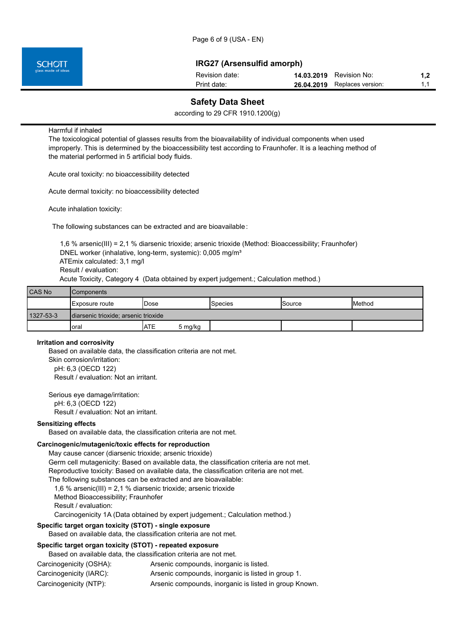| Revision date: | <b>14.03.2019</b> Revision No: |    |
|----------------|--------------------------------|----|
| Print date:    | 26.04.2019 Replaces version:   | 11 |

## **Safety Data Sheet**

according to 29 CFR 1910.1200(g)

Harmful if inhaled

The toxicological potential of glasses results from the bioavailability of individual components when used improperly. This is determined by the bioaccessibility test according to Fraunhofer. It is a leaching method of the material performed in 5 artificial body fluids.

Acute oral toxicity: no bioaccessibility detected

Acute dermal toxicity: no bioaccessibility detected

Acute inhalation toxicity:

The following substances can be extracted and are bioavailable:

 1,6 % arsenic(III) = 2,1 % diarsenic trioxide; arsenic trioxide (Method: Bioaccessibility; Fraunhofer) DNEL worker (inhalative, long-term, systemic): 0,005 mg/m<sup>3</sup> ATEmix calculated: 3,1 mg/l Result / evaluation: Acute Toxicity, Category 4 (Data obtained by expert judgement.; Calculation method.)

| <b>CAS No</b> | <b>Components</b>                    |      |         |                |               |               |
|---------------|--------------------------------------|------|---------|----------------|---------------|---------------|
|               | I Exposure route                     | Dose |         | <b>Species</b> | <b>Source</b> | <b>Method</b> |
| 1327-53-3     | diarsenic trioxide; arsenic trioxide |      |         |                |               |               |
|               | oral                                 | IATE | 5 mg/kg |                |               |               |

#### **Irritation and corrosivity**

Based on available data, the classification criteria are not met. Skin corrosion/irritation: pH: 6,3 (OECD 122) Result / evaluation: Not an irritant.

Serious eye damage/irritation: pH: 6,3 (OECD 122) Result / evaluation: Not an irritant.

#### **Sensitizing effects**

Based on available data, the classification criteria are not met.

## **Carcinogenic/mutagenic/toxic effects for reproduction**

May cause cancer (diarsenic trioxide; arsenic trioxide) Germ cell mutagenicity: Based on available data, the classification criteria are not met. Reproductive toxicity: Based on available data, the classification criteria are not met. The following substances can be extracted and are bioavailable: 1,6 % arsenic(III) = 2,1 % diarsenic trioxide; arsenic trioxide Method Bioaccessibility; Fraunhofer Result / evaluation: Carcinogenicity 1A (Data obtained by expert judgement.; Calculation method.)

## **Specific target organ toxicity (STOT) - single exposure**

Based on available data, the classification criteria are not met.

## **Specific target organ toxicity (STOT) - repeated exposure**

Based on available data, the classification criteria are not met.

- Carcinogenicity (OSHA): Arsenic compounds, inorganic is listed.
- Carcinogenicity (IARC): Arsenic compounds, inorganic is listed in group 1.
- Carcinogenicity (NTP): Arsenic compounds, inorganic is listed in group Known.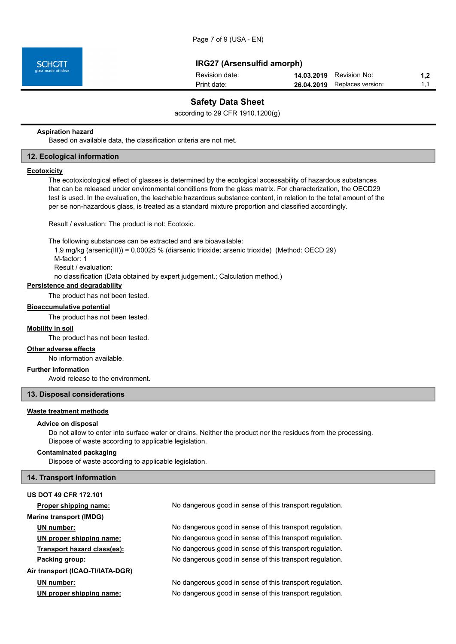| Revision date: | <b>14.03.2019</b> Revision No: | 1.2 <sub>2</sub> |
|----------------|--------------------------------|------------------|
| Print date:    | 26.04.2019 Replaces version:   | 1.1              |

## **Safety Data Sheet**

according to 29 CFR 1910.1200(g)

#### **Aspiration hazard**

Based on available data, the classification criteria are not met.

### **12. Ecological information**

#### **Ecotoxicity**

The ecotoxicological effect of glasses is determined by the ecological accessability of hazardous substances that can be released under environmental conditions from the glass matrix. For characterization, the OECD29 test is used. In the evaluation, the leachable hazardous substance content, in relation to the total amount of the per se non-hazardous glass, is treated as a standard mixture proportion and classified accordingly.

Result / evaluation: The product is not: Ecotoxic.

The following substances can be extracted and are bioavailable:

1,9 mg/kg (arsenic(III)) = 0,00025 % (diarsenic trioxide; arsenic trioxide) (Method: OECD 29)

M-factor: 1

 Result / evaluation: no classification (Data obtained by expert judgement.; Calculation method.)

#### **Persistence and degradability**

The product has not been tested.

#### **Bioaccumulative potential**

The product has not been tested.

#### **Mobility in soil**

The product has not been tested.

## **Other adverse effects**

No information available.

## **Further information**

Avoid release to the environment.

#### **13. Disposal considerations**

## **Waste treatment methods**

#### **Advice on disposal**

Do not allow to enter into surface water or drains. Neither the product nor the residues from the processing. Dispose of waste according to applicable legislation.

#### **Contaminated packaging**

Dispose of waste according to applicable legislation.

#### **14. Transport information**

| <b>US DOT 49 CFR 172.101</b>     |                                                          |
|----------------------------------|----------------------------------------------------------|
| Proper shipping name:            | No dangerous good in sense of this transport regulation. |
| <b>Marine transport (IMDG)</b>   |                                                          |
| UN number:                       | No dangerous good in sense of this transport regulation. |
| UN proper shipping name:         | No dangerous good in sense of this transport regulation. |
| Transport hazard class(es):      | No dangerous good in sense of this transport regulation. |
| Packing group:                   | No dangerous good in sense of this transport regulation. |
| Air transport (ICAO-TI/IATA-DGR) |                                                          |
| UN number:                       | No dangerous good in sense of this transport regulation. |
| UN proper shipping name:         | No dangerous good in sense of this transport regulation. |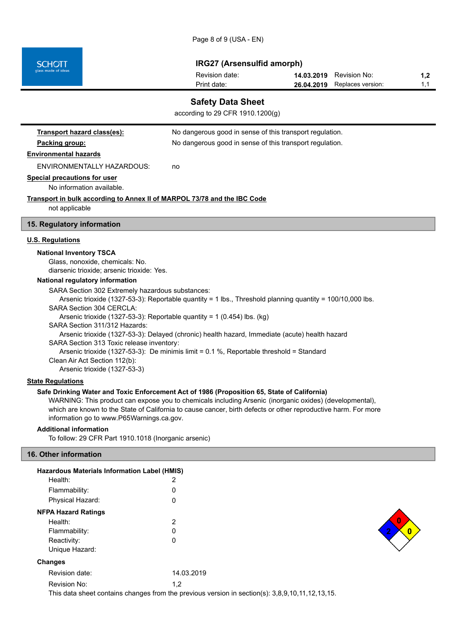Page 8 of 9 (USA - EN)

**IRG27 (Arsensulfid amorph)**

| Revision date: | <b>14.03.2019</b> Revision No: | 1,2 |
|----------------|--------------------------------|-----|
| Print date:    | 26.04.2019 Replaces version:   |     |

## **Safety Data Sheet**

according to 29 CFR 1910.1200(g)

| Transport hazard class(es):                                                                               | No dangerous good in sense of this transport regulation.                                       |  |
|-----------------------------------------------------------------------------------------------------------|------------------------------------------------------------------------------------------------|--|
| Packing group:                                                                                            | No dangerous good in sense of this transport regulation.                                       |  |
| <b>Environmental hazards</b>                                                                              |                                                                                                |  |
| ENVIRONMENTALLY HAZARDOUS:                                                                                | no                                                                                             |  |
| <b>Special precautions for user</b><br>No information available.                                          |                                                                                                |  |
| <b>Transport in bulk according to Annex II of MARPOL 73/78 and the IBC Code</b>                           |                                                                                                |  |
| not applicable                                                                                            |                                                                                                |  |
| 15. Regulatory information                                                                                |                                                                                                |  |
| <b>U.S. Regulations</b>                                                                                   |                                                                                                |  |
| <b>National Inventory TSCA</b>                                                                            |                                                                                                |  |
| Glass, nonoxide, chemicals: No.                                                                           |                                                                                                |  |
| diarsenic trioxide; arsenic trioxide: Yes.                                                                |                                                                                                |  |
| National regulatory information                                                                           |                                                                                                |  |
| SARA Section 302 Extremely hazardous substances:                                                          |                                                                                                |  |
| Arsenic trioxide (1327-53-3): Reportable quantity = 1 lbs., Threshold planning quantity = 100/10,000 lbs. |                                                                                                |  |
| SARA Section 304 CFRCI A:                                                                                 |                                                                                                |  |
| Arsenic trioxide (1327-53-3): Reportable quantity = 1 (0.454) lbs. (kg)<br>SARA Section 311/312 Hazards:  |                                                                                                |  |
|                                                                                                           | Arsenic trioxide (1327-53-3): Delayed (chronic) health hazard, Immediate (acute) health hazard |  |
| SARA Section 313 Toxic release inventory:                                                                 |                                                                                                |  |
|                                                                                                           | Arsenic trioxide (1327-53-3): De minimis limit = $0.1\%$ , Reportable threshold = Standard     |  |
| Clean Air Act Section 112(b):                                                                             |                                                                                                |  |
| Arsenic trioxide (1327-53-3)                                                                              |                                                                                                |  |
| <b>State Regulations</b>                                                                                  |                                                                                                |  |

## **Safe Drinking Water and Toxic Enforcement Act of 1986 (Proposition 65, State of California)**

WARNING: This product can expose you to chemicals including Arsenic (inorganic oxides) (developmental), which are known to the State of California to cause cancer, birth defects or other reproductive harm. For more information go to www.P65Warnings.ca.gov.

## **Additional information**

To follow: 29 CFR Part 1910.1018 (Inorganic arsenic)

## **16. Other information**

**SCHOTT** 

| <b>Hazardous Materials Information Label (HMIS)</b> |            |
|-----------------------------------------------------|------------|
| Health:                                             | 2          |
| Flammability:                                       | O)         |
| Physical Hazard:                                    | O          |
| <b>NFPA Hazard Ratings</b>                          |            |
| Health:                                             | 2          |
| Flammability:                                       | O          |
| Reactivity:                                         | 0          |
| Unique Hazard:                                      |            |
| <b>Changes</b>                                      |            |
| Revision date:                                      | 14.03.2019 |
| Revision No:                                        | 1,2        |



This data sheet contains changes from the previous version in section(s): 3,8,9,10,11,12,13,15.